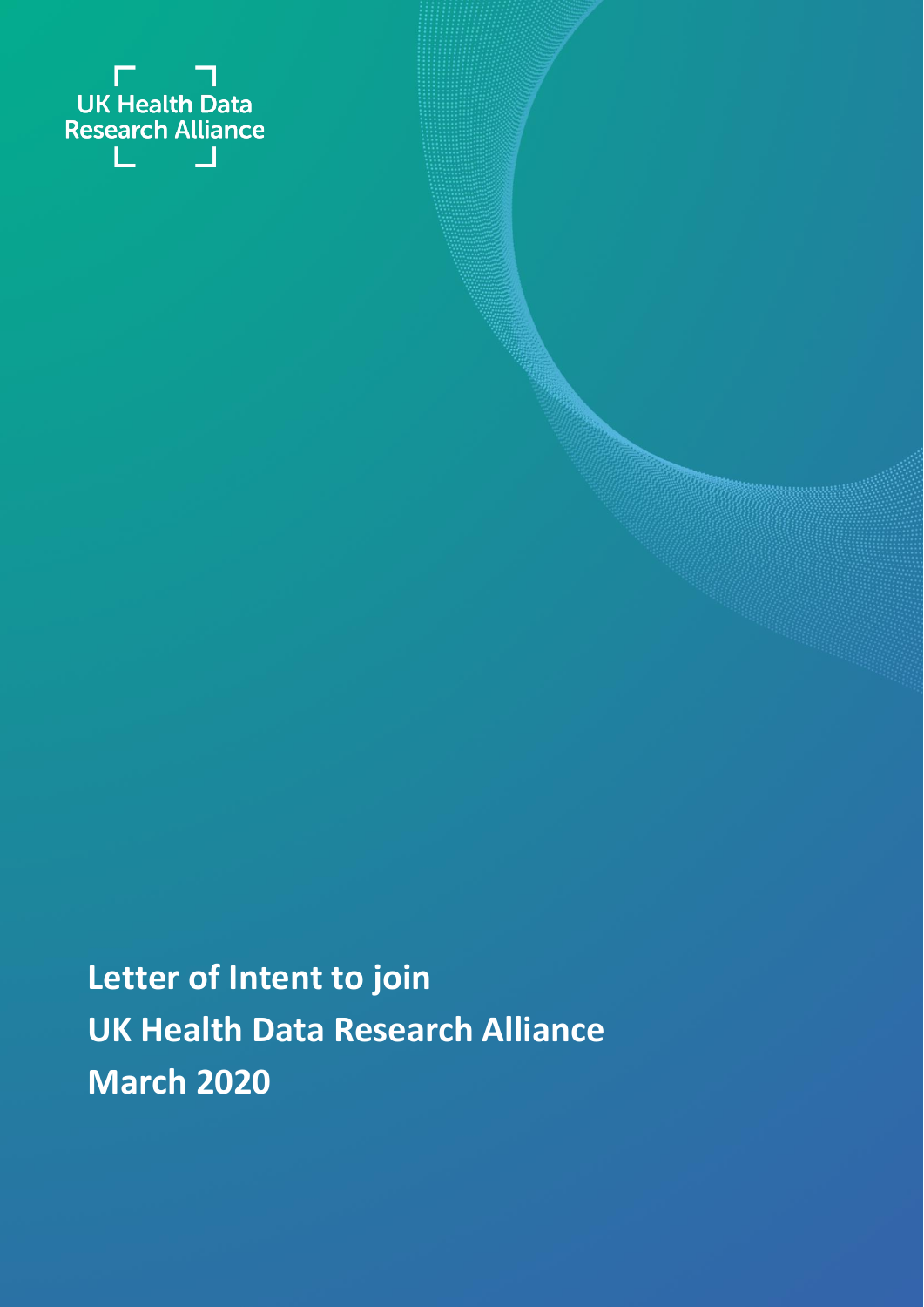

**Letter of Intent to join UK Health Data Research Alliance March 2020**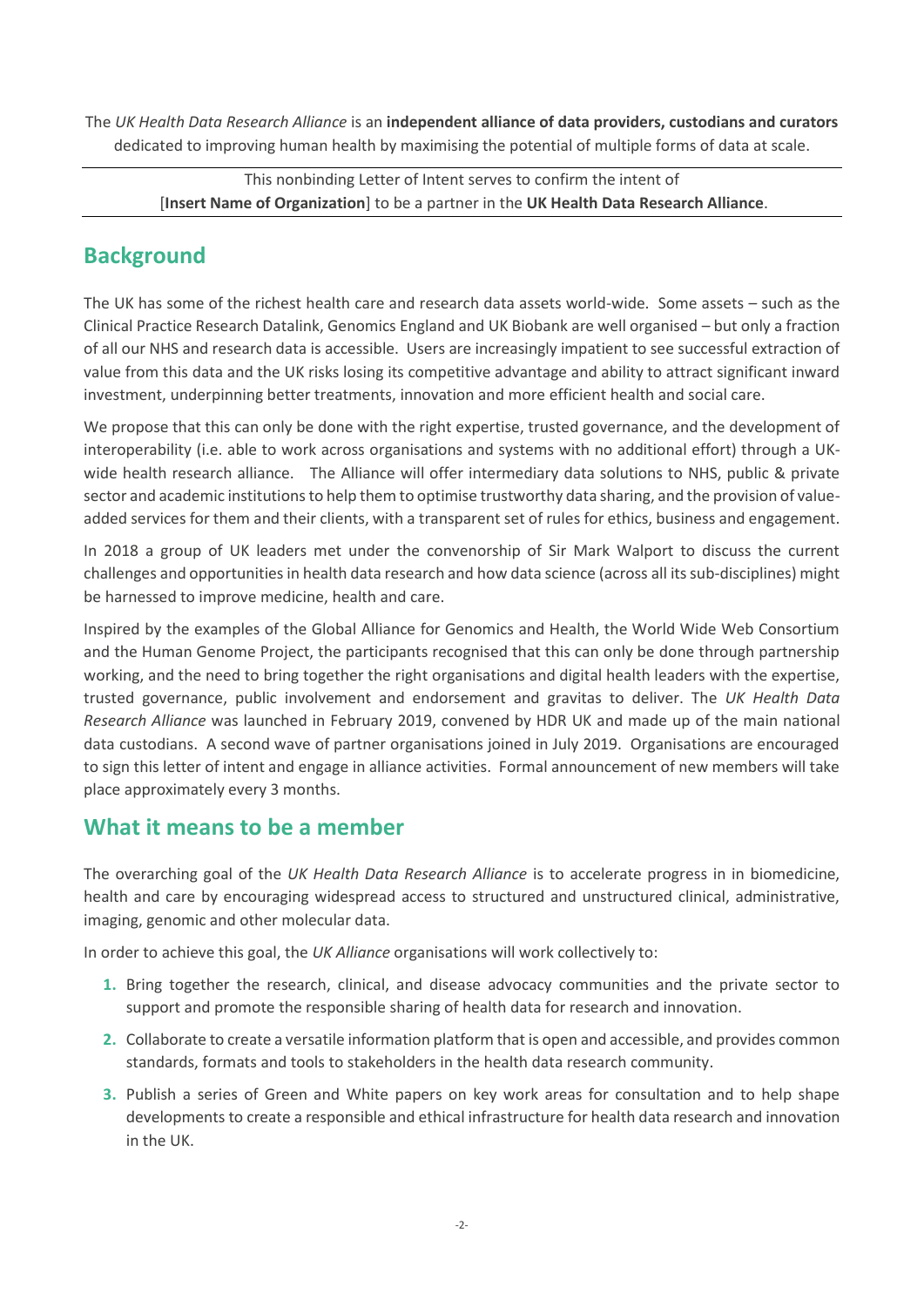The *UK Health Data Research Alliance* is an **independent alliance of data providers, custodians and curators** dedicated to improving human health by maximising the potential of multiple forms of data at scale.

This nonbinding Letter of Intent serves to confirm the intent of [**Insert Name of Organization**] to be a partner in the **UK Health Data Research Alliance**.

# **Background**

The UK has some of the richest health care and research data assets world-wide. Some assets – such as the Clinical Practice Research Datalink, Genomics England and UK Biobank are well organised – but only a fraction of all our NHS and research data is accessible. Users are increasingly impatient to see successful extraction of value from this data and the UK risks losing its competitive advantage and ability to attract significant inward investment, underpinning better treatments, innovation and more efficient health and social care.

We propose that this can only be done with the right expertise, trusted governance, and the development of interoperability (i.e. able to work across organisations and systems with no additional effort) through a UKwide health research alliance. The Alliance will offer intermediary data solutions to NHS, public & private sector and academic institutions to help them to optimise trustworthy data sharing, and the provision of valueadded services for them and their clients, with a transparent set of rules for ethics, business and engagement.

In 2018 a group of UK leaders met under the convenorship of Sir Mark Walport to discuss the current challenges and opportunities in health data research and how data science (across all its sub-disciplines) might be harnessed to improve medicine, health and care.

Inspired by the examples of the Global Alliance for Genomics and Health, the World Wide Web Consortium and the Human Genome Project, the participants recognised that this can only be done through partnership working, and the need to bring together the right organisations and digital health leaders with the expertise, trusted governance, public involvement and endorsement and gravitas to deliver. The *UK Health Data Research Alliance* was launched in February 2019, convened by HDR UK and made up of the main national data custodians. A second wave of partner organisations joined in July 2019. Organisations are encouraged to sign this letter of intent and engage in alliance activities. Formal announcement of new members will take place approximately every 3 months.

## **What it means to be a member**

The overarching goal of the *UK Health Data Research Alliance* is to accelerate progress in in biomedicine, health and care by encouraging widespread access to structured and unstructured clinical, administrative, imaging, genomic and other molecular data.

In order to achieve this goal, the *UK Alliance* organisations will work collectively to:

- **1.** Bring together the research, clinical, and disease advocacy communities and the private sector to support and promote the responsible sharing of health data for research and innovation.
- **2.** Collaborate to create a versatile information platform that is open and accessible, and provides common standards, formats and tools to stakeholders in the health data research community.
- **3.** Publish a series of Green and White papers on key work areas for consultation and to help shape developments to create a responsible and ethical infrastructure for health data research and innovation in the UK.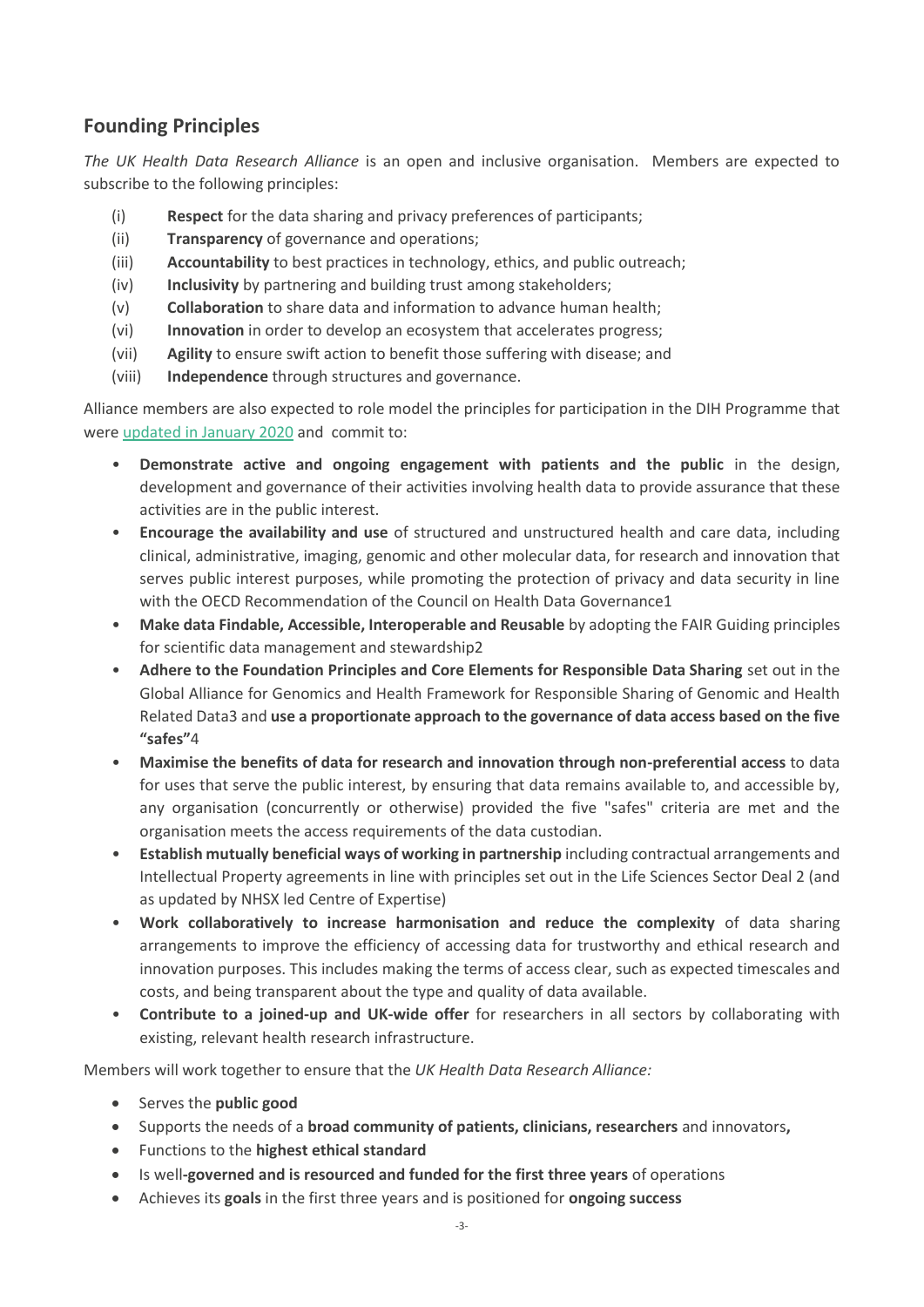### **Founding Principles**

*The UK Health Data Research Alliance* is an open and inclusive organisation. Members are expected to subscribe to the following principles:

- (i) **Respect** for the data sharing and privacy preferences of participants;
- (ii) **Transparency** of governance and operations;
- (iii) **Accountability** to best practices in technology, ethics, and public outreach;
- (iv) **Inclusivity** by partnering and building trust among stakeholders;
- (v) **Collaboration** to share data and information to advance human health;
- (vi) **Innovation** in order to develop an ecosystem that accelerates progress;
- (vii) **Agility** to ensure swift action to benefit those suffering with disease; and
- (viii) **Independence** through structures and governance.

Alliance members are also expected to role model the principles for participation in the DIH Programme that were [updated in January 2020](https://www.hdruk.ac.uk/wp-content/uploads/2020/03/200304-Principles-for-Participationv2pdf.pdf) and commit to:

- **Demonstrate active and ongoing engagement with patients and the public** in the design, development and governance of their activities involving health data to provide assurance that these activities are in the public interest.
- **Encourage the availability and use** of structured and unstructured health and care data, including clinical, administrative, imaging, genomic and other molecular data, for research and innovation that serves public interest purposes, while promoting the protection of privacy and data security in line with the OECD Recommendation of the Council on Health Data Governance1
- **Make data Findable, Accessible, Interoperable and Reusable** by adopting the FAIR Guiding principles for scientific data management and stewardship2
- **Adhere to the Foundation Principles and Core Elements for Responsible Data Sharing** set out in the Global Alliance for Genomics and Health Framework for Responsible Sharing of Genomic and Health Related Data3 and **use a proportionate approach to the governance of data access based on the five "safes"**4
- **Maximise the benefits of data for research and innovation through non-preferential access** to data for uses that serve the public interest, by ensuring that data remains available to, and accessible by, any organisation (concurrently or otherwise) provided the five "safes" criteria are met and the organisation meets the access requirements of the data custodian.
- **Establish mutually beneficial ways of working in partnership** including contractual arrangements and Intellectual Property agreements in line with principles set out in the Life Sciences Sector Deal 2 (and as updated by NHSX led Centre of Expertise)
- **Work collaboratively to increase harmonisation and reduce the complexity** of data sharing arrangements to improve the efficiency of accessing data for trustworthy and ethical research and innovation purposes. This includes making the terms of access clear, such as expected timescales and costs, and being transparent about the type and quality of data available.
- **Contribute to a joined-up and UK-wide offer** for researchers in all sectors by collaborating with existing, relevant health research infrastructure.

Members will work together to ensure that the *UK Health Data Research Alliance:*

- Serves the **public good**
- Supports the needs of a **broad community of patients, clinicians, researchers** and innovators**,**
- Functions to the **highest ethical standard**
- Is well**-governed and is resourced and funded for the first three years** of operations
- Achieves its **goals** in the first three years and is positioned for **ongoing success**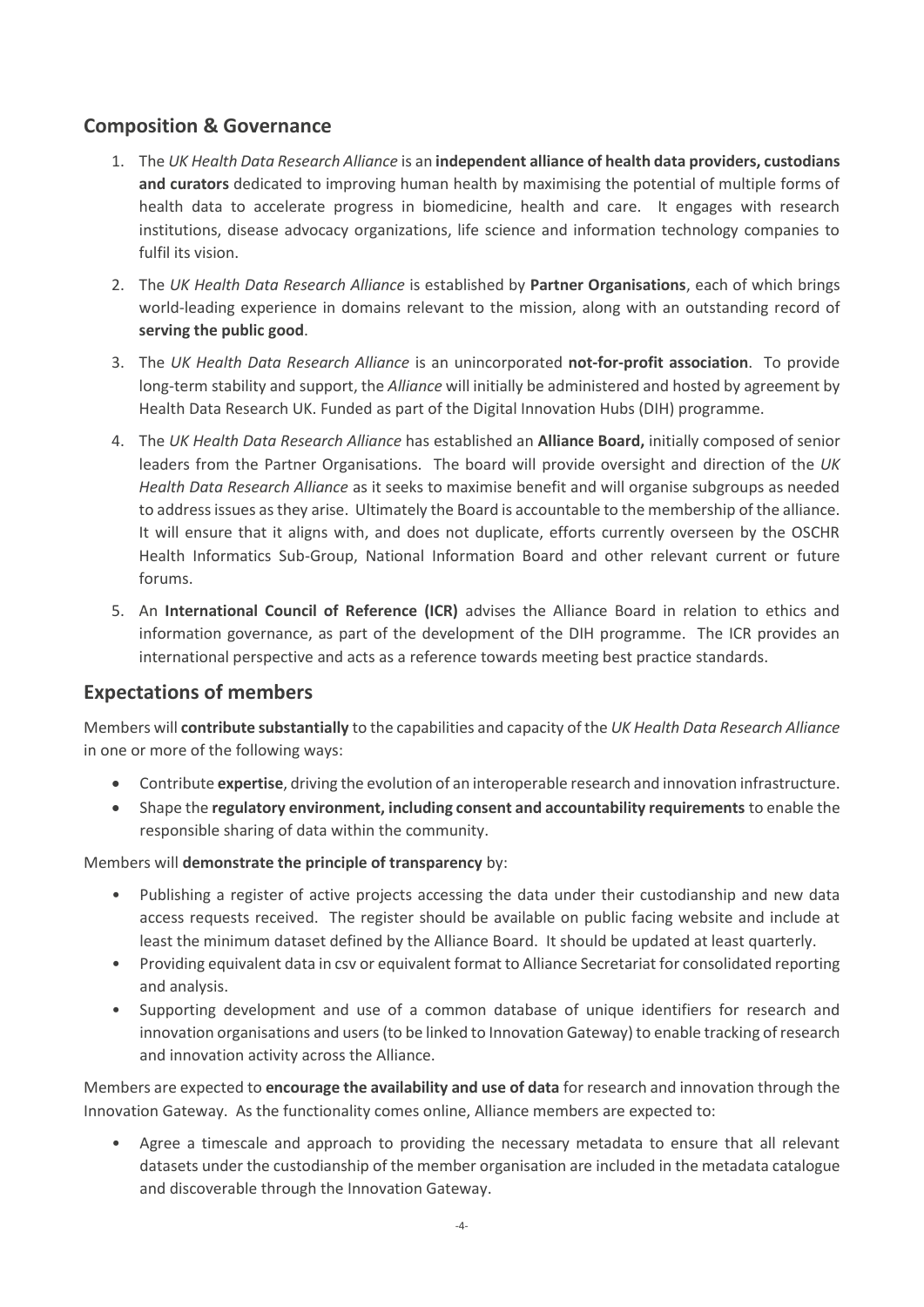### **Composition & Governance**

- 1. The *UK Health Data Research Alliance* is an **independent alliance of health data providers, custodians and curators** dedicated to improving human health by maximising the potential of multiple forms of health data to accelerate progress in biomedicine, health and care. It engages with research institutions, disease advocacy organizations, life science and information technology companies to fulfil its vision.
- 2. The *UK Health Data Research Alliance* is established by **Partner Organisations**, each of which brings world-leading experience in domains relevant to the mission, along with an outstanding record of **serving the public good**.
- 3. The *UK Health Data Research Alliance* is an unincorporated **not-for-profit association**. To provide long-term stability and support, the *Alliance* will initially be administered and hosted by agreement by Health Data Research UK. Funded as part of the Digital Innovation Hubs (DIH) programme.
- 4. The *UK Health Data Research Alliance* has established an **Alliance Board,** initially composed of senior leaders from the Partner Organisations. The board will provide oversight and direction of the *UK Health Data Research Alliance* as it seeks to maximise benefit and will organise subgroups as needed to address issues as they arise. Ultimately the Board is accountable to the membership of the alliance. It will ensure that it aligns with, and does not duplicate, efforts currently overseen by the OSCHR Health Informatics Sub-Group, National Information Board and other relevant current or future forums.
- 5. An **International Council of Reference (ICR)** advises the Alliance Board in relation to ethics and information governance, as part of the development of the DIH programme. The ICR provides an international perspective and acts as a reference towards meeting best practice standards.

### **Expectations of members**

Members will **contribute substantially** to the capabilities and capacity of the *UK Health Data Research Alliance* in one or more of the following ways:

- Contribute **expertise**, driving the evolution of an interoperable research and innovation infrastructure.
- Shape the **regulatory environment, including consent and accountability requirements** to enable the responsible sharing of data within the community.

#### Members will **demonstrate the principle of transparency** by:

- Publishing a register of active projects accessing the data under their custodianship and new data access requests received. The register should be available on public facing website and include at least the minimum dataset defined by the Alliance Board. It should be updated at least quarterly.
- Providing equivalent data in csv or equivalent format to Alliance Secretariat for consolidated reporting and analysis.
- Supporting development and use of a common database of unique identifiers for research and innovation organisations and users (to be linked to Innovation Gateway) to enable tracking of research and innovation activity across the Alliance.

Members are expected to **encourage the availability and use of data** for research and innovation through the Innovation Gateway. As the functionality comes online, Alliance members are expected to:

• Agree a timescale and approach to providing the necessary metadata to ensure that all relevant datasets under the custodianship of the member organisation are included in the metadata catalogue and discoverable through the Innovation Gateway.